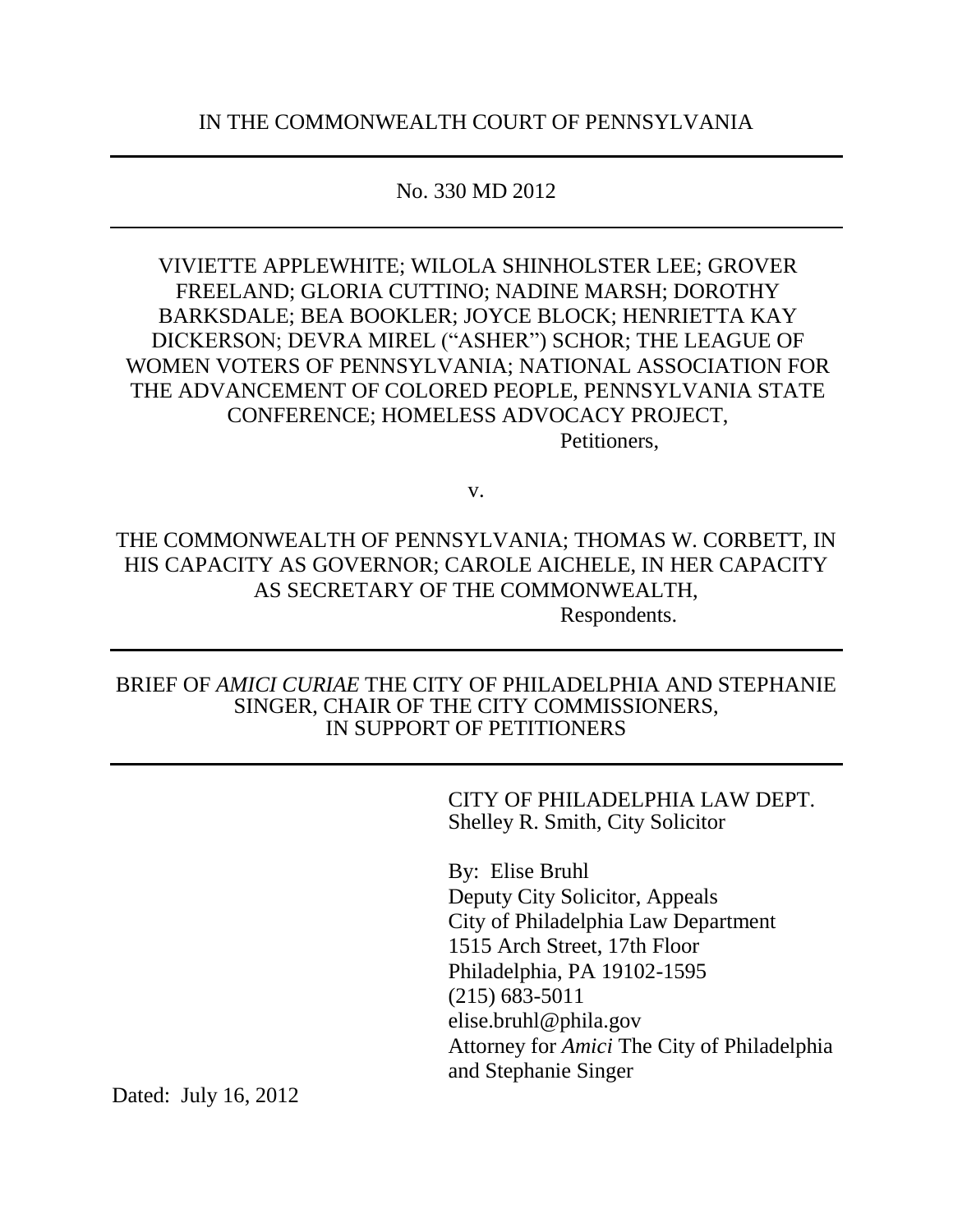# No. 330 MD 2012

VIVIETTE APPLEWHITE; WILOLA SHINHOLSTER LEE; GROVER FREELAND; GLORIA CUTTINO; NADINE MARSH; DOROTHY BARKSDALE; BEA BOOKLER; JOYCE BLOCK; HENRIETTA KAY DICKERSON; DEVRA MIREL ("ASHER") SCHOR; THE LEAGUE OF WOMEN VOTERS OF PENNSYLVANIA; NATIONAL ASSOCIATION FOR THE ADVANCEMENT OF COLORED PEOPLE, PENNSYLVANIA STATE CONFERENCE; HOMELESS ADVOCACY PROJECT, Petitioners,

v.

# THE COMMONWEALTH OF PENNSYLVANIA; THOMAS W. CORBETT, IN HIS CAPACITY AS GOVERNOR; CAROLE AICHELE, IN HER CAPACITY AS SECRETARY OF THE COMMONWEALTH, Respondents.

## BRIEF OF *AMICI CURIAE* THE CITY OF PHILADELPHIA AND STEPHANIE SINGER, CHAIR OF THE CITY COMMISSIONERS, IN SUPPORT OF PETITIONERS

CITY OF PHILADELPHIA LAW DEPT. Shelley R. Smith, City Solicitor

By: Elise Bruhl Deputy City Solicitor, Appeals City of Philadelphia Law Department 1515 Arch Street, 17th Floor Philadelphia, PA 19102-1595 (215) 683-5011 elise.bruhl@phila.gov Attorney for *Amici* The City of Philadelphia and Stephanie Singer

Dated: July 16, 2012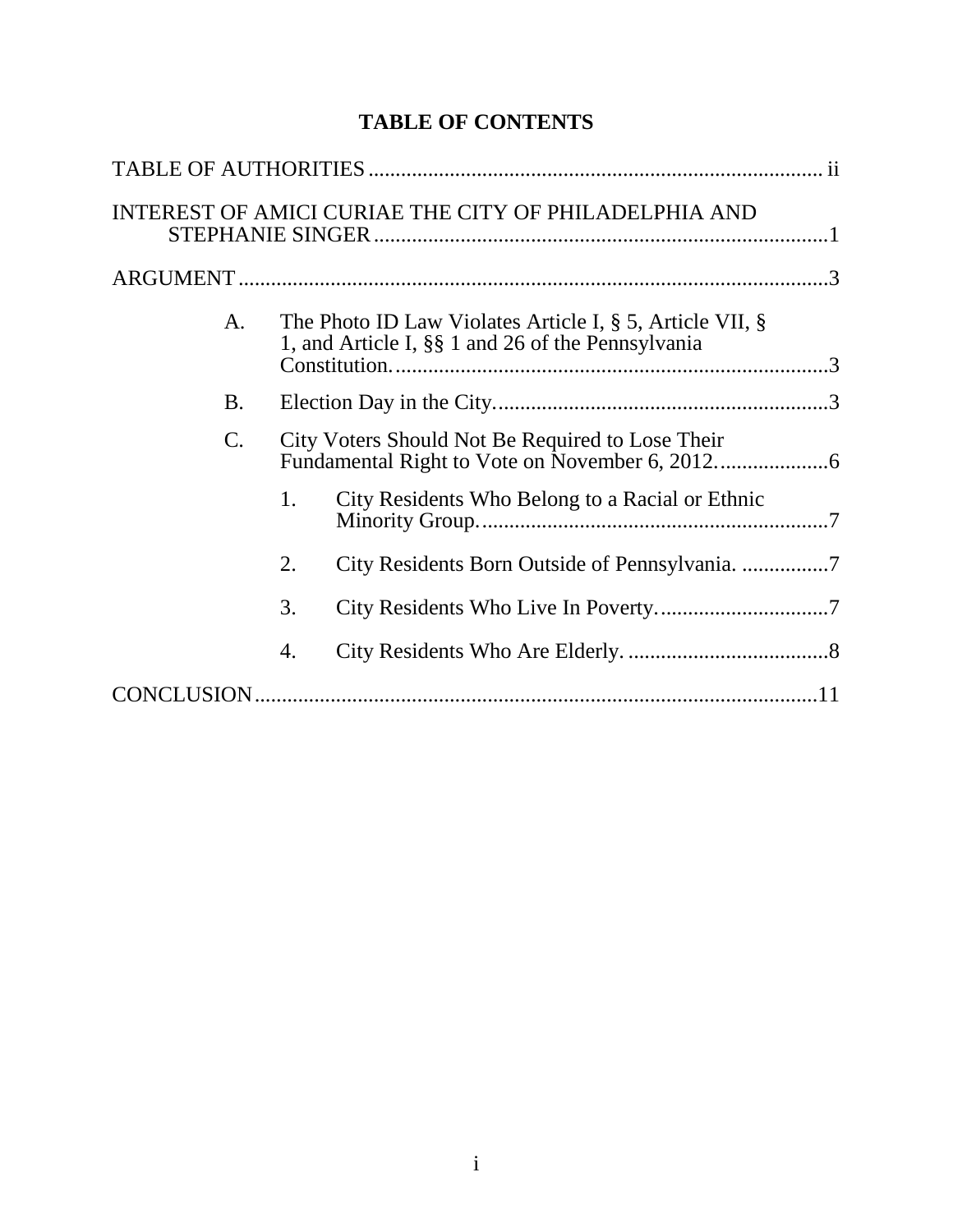# **TABLE OF CONTENTS**

|  |    |                                                                                                                     | INTEREST OF AMICI CURIAE THE CITY OF PHILADELPHIA AND |  |  |  |
|--|----|---------------------------------------------------------------------------------------------------------------------|-------------------------------------------------------|--|--|--|
|  |    |                                                                                                                     |                                                       |  |  |  |
|  | A. | The Photo ID Law Violates Article I, $\S$ 5, Article VII, $\S$<br>1, and Article I, §§ 1 and 26 of the Pennsylvania |                                                       |  |  |  |
|  | B. |                                                                                                                     |                                                       |  |  |  |
|  | C. | City Voters Should Not Be Required to Lose Their                                                                    |                                                       |  |  |  |
|  |    | 1.                                                                                                                  | City Residents Who Belong to a Racial or Ethnic       |  |  |  |
|  |    | 2.                                                                                                                  |                                                       |  |  |  |
|  |    | 3.                                                                                                                  |                                                       |  |  |  |
|  |    | 4.                                                                                                                  |                                                       |  |  |  |
|  |    |                                                                                                                     |                                                       |  |  |  |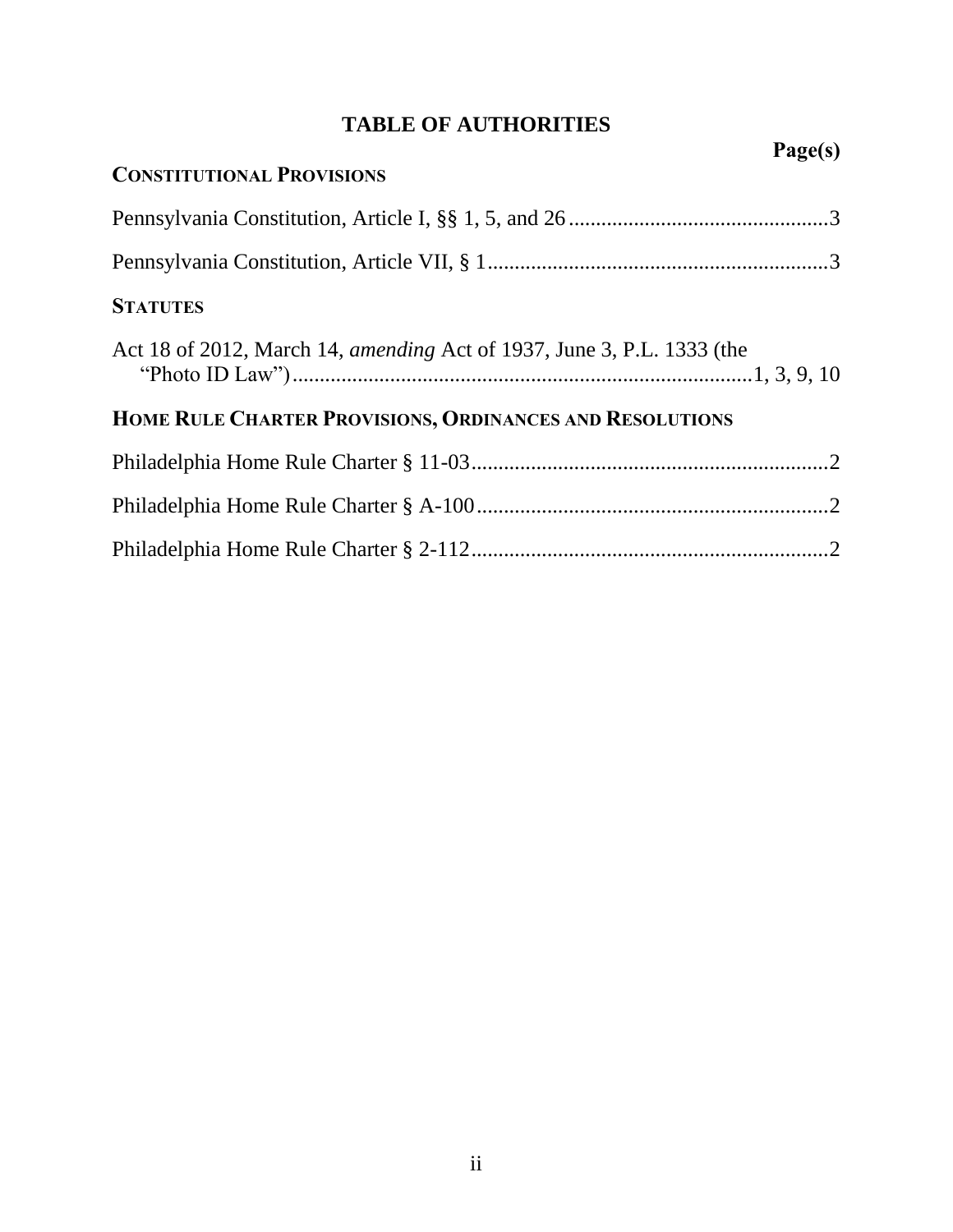# **TABLE OF AUTHORITIES**

<span id="page-2-0"></span>

|                                                                        | Page(s) |
|------------------------------------------------------------------------|---------|
| <b>CONSTITUTIONAL PROVISIONS</b>                                       |         |
|                                                                        |         |
|                                                                        |         |
| <b>STATUTES</b>                                                        |         |
| Act 18 of 2012, March 14, amending Act of 1937, June 3, P.L. 1333 (the |         |
| HOME RULE CHARTER PROVISIONS, ORDINANCES AND RESOLUTIONS               |         |
|                                                                        |         |
|                                                                        |         |
|                                                                        |         |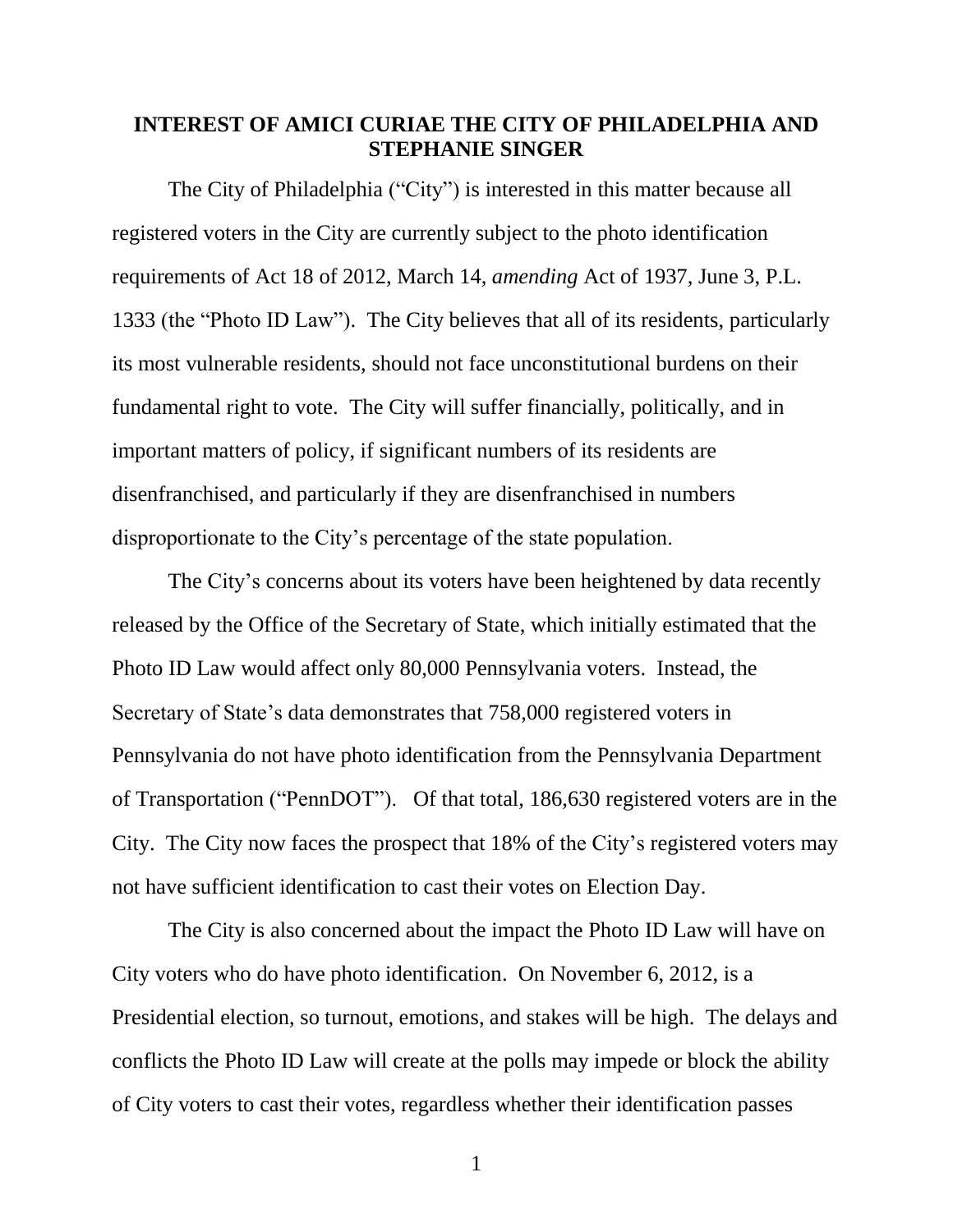## <span id="page-3-0"></span>**INTEREST OF AMICI CURIAE THE CITY OF PHILADELPHIA AND STEPHANIE SINGER**

<span id="page-3-1"></span>The City of Philadelphia ("City") is interested in this matter because all registered voters in the City are currently subject to the photo identification requirements of Act 18 of 2012, March 14, *amending* Act of 1937, June 3, P.L. 1333 (the "Photo ID Law"). The City believes that all of its residents, particularly its most vulnerable residents, should not face unconstitutional burdens on their fundamental right to vote. The City will suffer financially, politically, and in important matters of policy, if significant numbers of its residents are disenfranchised, and particularly if they are disenfranchised in numbers disproportionate to the City's percentage of the state population.

The City's concerns about its voters have been heightened by data recently released by the Office of the Secretary of State, which initially estimated that the Photo ID Law would affect only 80,000 Pennsylvania voters. Instead, the Secretary of State's data demonstrates that 758,000 registered voters in Pennsylvania do not have photo identification from the Pennsylvania Department of Transportation ("PennDOT"). Of that total, 186,630 registered voters are in the City. The City now faces the prospect that 18% of the City's registered voters may not have sufficient identification to cast their votes on Election Day.

The City is also concerned about the impact the Photo ID Law will have on City voters who do have photo identification. On November 6, 2012, is a Presidential election, so turnout, emotions, and stakes will be high. The delays and conflicts the Photo ID Law will create at the polls may impede or block the ability of City voters to cast their votes, regardless whether their identification passes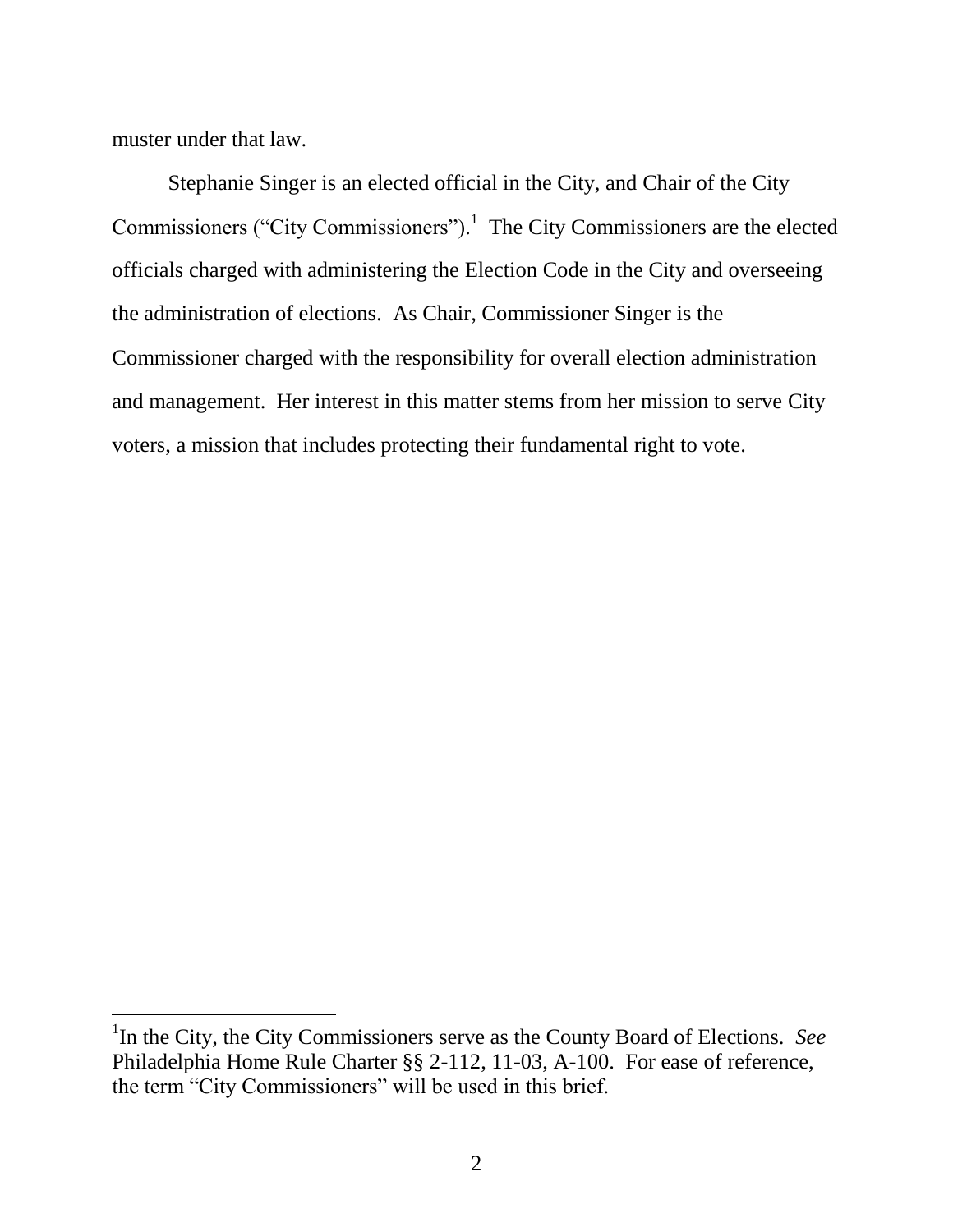muster under that law.

<span id="page-4-1"></span><span id="page-4-0"></span> $\overline{a}$ 

Stephanie Singer is an elected official in the City, and Chair of the City Commissioners ("City Commissioners").<sup>1</sup> The City Commissioners are the elected officials charged with administering the Election Code in the City and overseeing the administration of elections. As Chair, Commissioner Singer is the Commissioner charged with the responsibility for overall election administration and management. Her interest in this matter stems from her mission to serve City voters, a mission that includes protecting their fundamental right to vote.

<span id="page-4-2"></span><sup>&</sup>lt;sup>1</sup>In the City, the City Commissioners serve as the County Board of Elections. See Philadelphia Home Rule Charter §§ 2-112, 11-03, A-100. For ease of reference, the term "City Commissioners" will be used in this brief.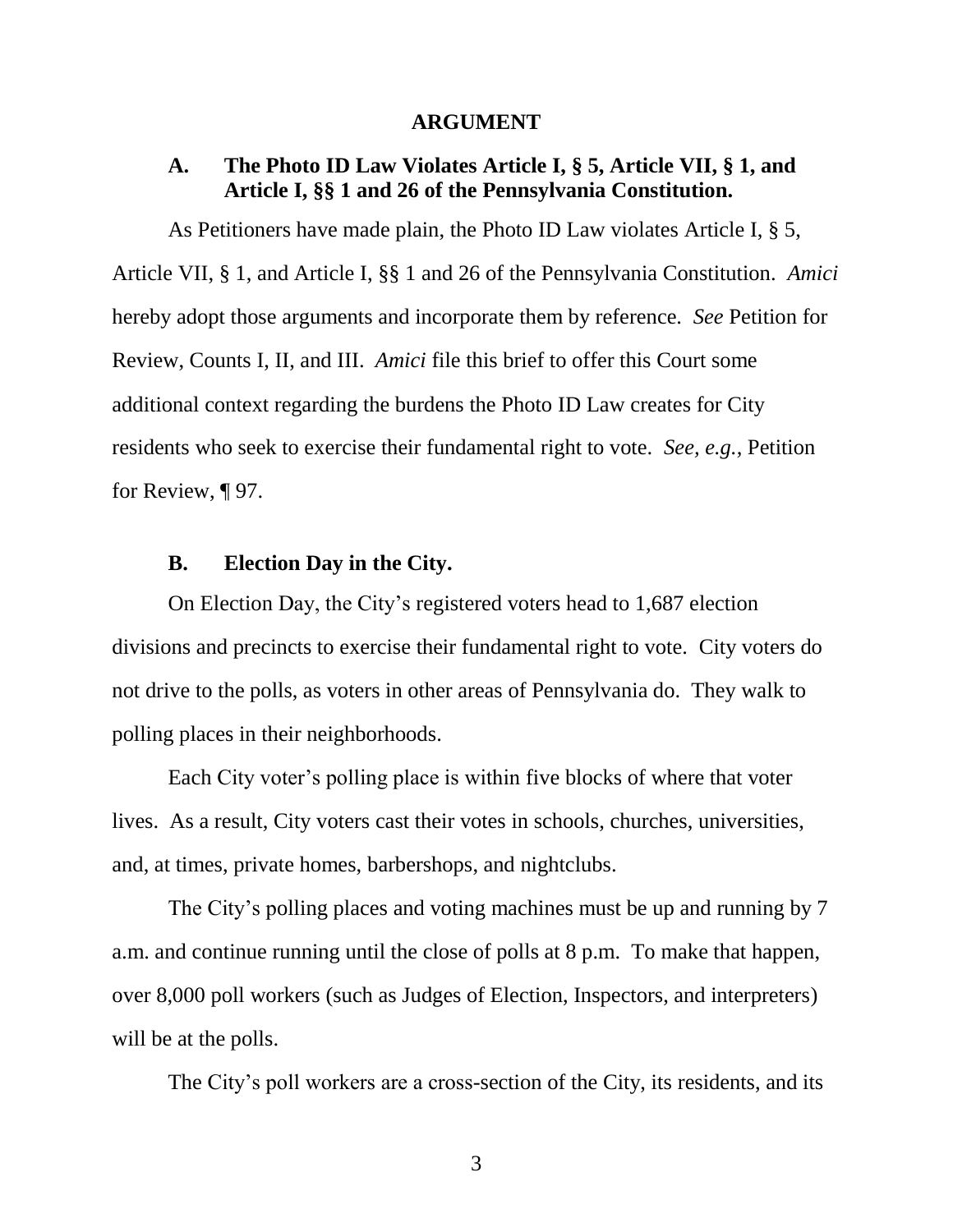#### <span id="page-5-5"></span><span id="page-5-4"></span>**ARGUMENT**

## <span id="page-5-1"></span><span id="page-5-0"></span>**A. The Photo ID Law Violates Article I, § 5, Article VII, § 1, and Article I, §§ 1 and 26 of the Pennsylvania Constitution.**

<span id="page-5-3"></span>As Petitioners have made plain, the Photo ID Law violates Article I, § 5, Article VII, § 1, and Article I, §§ 1 and 26 of the Pennsylvania Constitution. *Amici* hereby adopt those arguments and incorporate them by reference. *See* Petition for Review, Counts I, II, and III. *Amici* file this brief to offer this Court some additional context regarding the burdens the Photo ID Law creates for City residents who seek to exercise their fundamental right to vote. *See, e.g.*, Petition for Review,  $\P$  97.

#### **B. Election Day in the City.**

<span id="page-5-2"></span>On Election Day, the City's registered voters head to 1,687 election divisions and precincts to exercise their fundamental right to vote. City voters do not drive to the polls, as voters in other areas of Pennsylvania do. They walk to polling places in their neighborhoods.

Each City voter's polling place is within five blocks of where that voter lives. As a result, City voters cast their votes in schools, churches, universities, and, at times, private homes, barbershops, and nightclubs.

The City's polling places and voting machines must be up and running by 7 a.m. and continue running until the close of polls at 8 p.m. To make that happen, over 8,000 poll workers (such as Judges of Election, Inspectors, and interpreters) will be at the polls.

The City's poll workers are a cross-section of the City, its residents, and its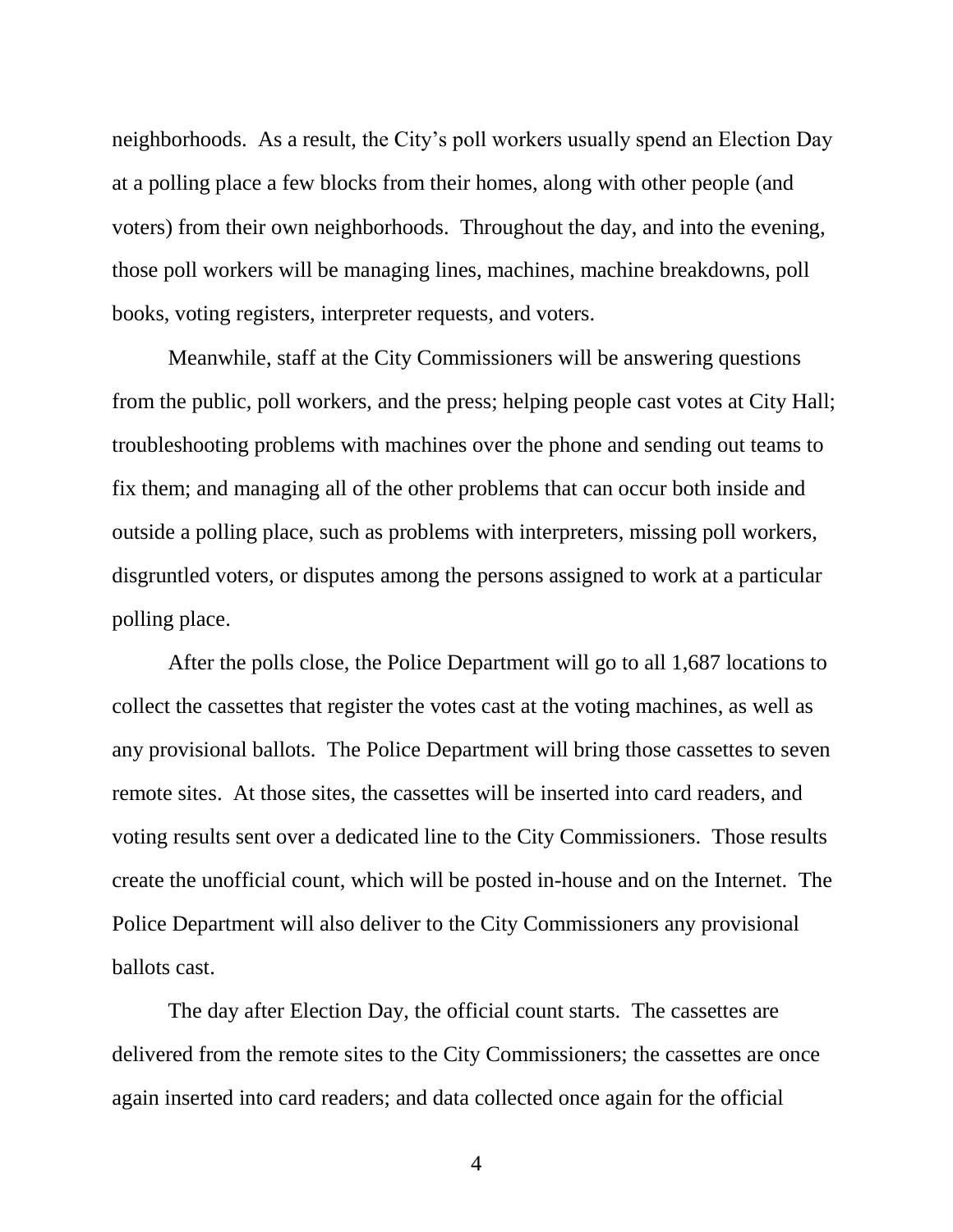neighborhoods. As a result, the City's poll workers usually spend an Election Day at a polling place a few blocks from their homes, along with other people (and voters) from their own neighborhoods. Throughout the day, and into the evening, those poll workers will be managing lines, machines, machine breakdowns, poll books, voting registers, interpreter requests, and voters.

Meanwhile, staff at the City Commissioners will be answering questions from the public, poll workers, and the press; helping people cast votes at City Hall; troubleshooting problems with machines over the phone and sending out teams to fix them; and managing all of the other problems that can occur both inside and outside a polling place, such as problems with interpreters, missing poll workers, disgruntled voters, or disputes among the persons assigned to work at a particular polling place.

After the polls close, the Police Department will go to all 1,687 locations to collect the cassettes that register the votes cast at the voting machines, as well as any provisional ballots. The Police Department will bring those cassettes to seven remote sites. At those sites, the cassettes will be inserted into card readers, and voting results sent over a dedicated line to the City Commissioners. Those results create the unofficial count, which will be posted in-house and on the Internet. The Police Department will also deliver to the City Commissioners any provisional ballots cast.

The day after Election Day, the official count starts. The cassettes are delivered from the remote sites to the City Commissioners; the cassettes are once again inserted into card readers; and data collected once again for the official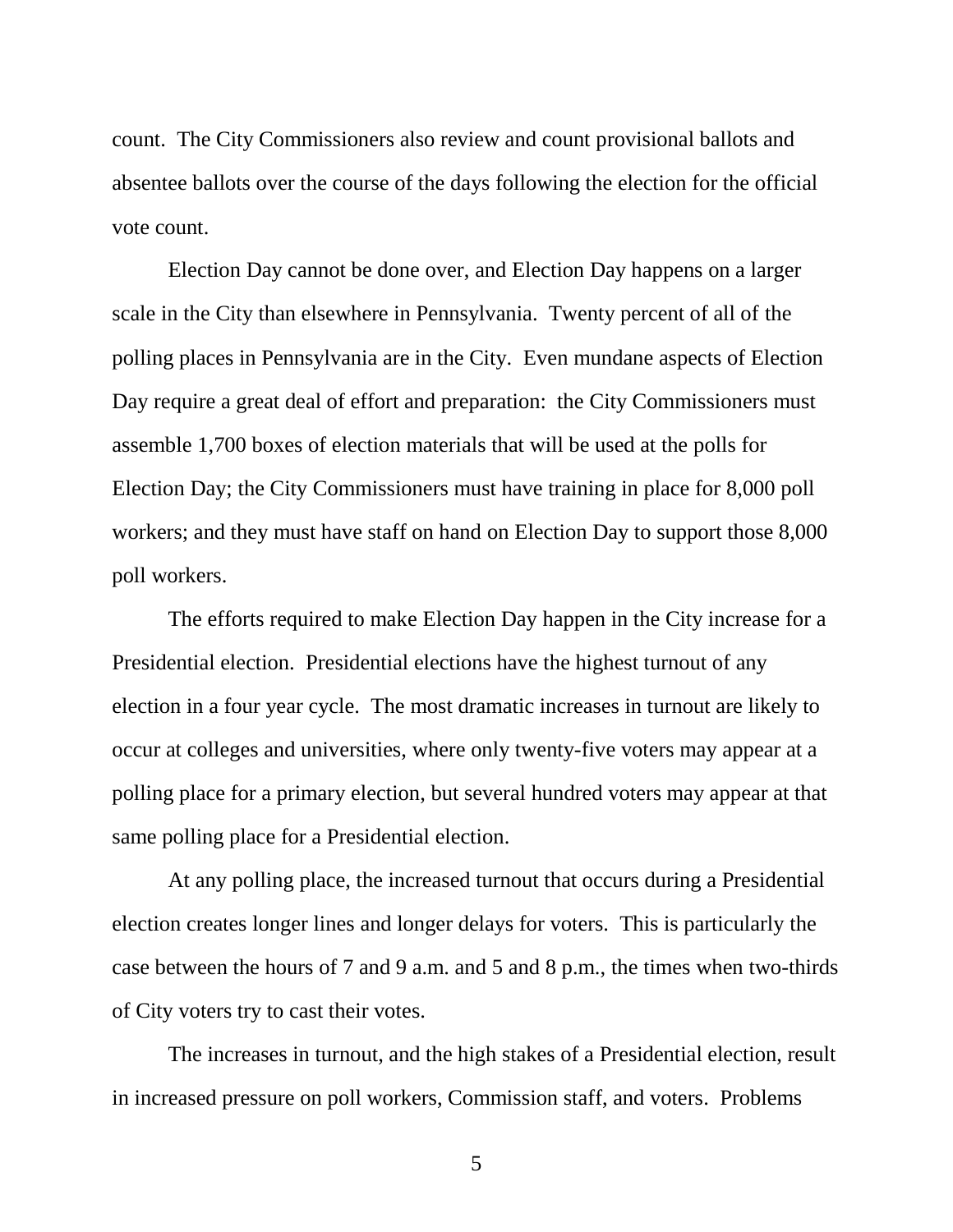count. The City Commissioners also review and count provisional ballots and absentee ballots over the course of the days following the election for the official vote count.

Election Day cannot be done over, and Election Day happens on a larger scale in the City than elsewhere in Pennsylvania. Twenty percent of all of the polling places in Pennsylvania are in the City. Even mundane aspects of Election Day require a great deal of effort and preparation: the City Commissioners must assemble 1,700 boxes of election materials that will be used at the polls for Election Day; the City Commissioners must have training in place for 8,000 poll workers; and they must have staff on hand on Election Day to support those 8,000 poll workers.

The efforts required to make Election Day happen in the City increase for a Presidential election. Presidential elections have the highest turnout of any election in a four year cycle. The most dramatic increases in turnout are likely to occur at colleges and universities, where only twenty-five voters may appear at a polling place for a primary election, but several hundred voters may appear at that same polling place for a Presidential election.

At any polling place, the increased turnout that occurs during a Presidential election creates longer lines and longer delays for voters. This is particularly the case between the hours of 7 and 9 a.m. and 5 and 8 p.m., the times when two-thirds of City voters try to cast their votes.

The increases in turnout, and the high stakes of a Presidential election, result in increased pressure on poll workers, Commission staff, and voters. Problems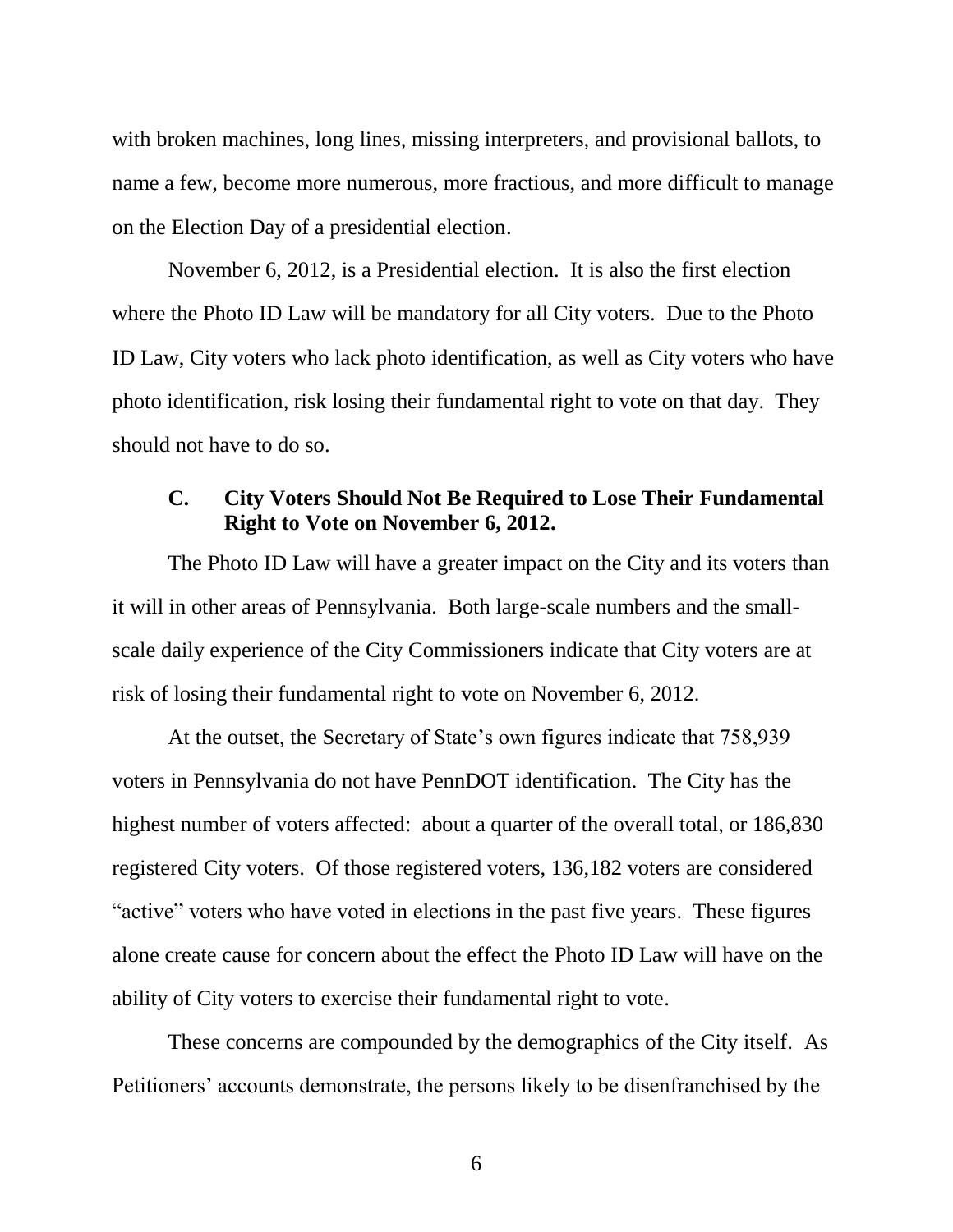with broken machines, long lines, missing interpreters, and provisional ballots, to name a few, become more numerous, more fractious, and more difficult to manage on the Election Day of a presidential election.

November 6, 2012, is a Presidential election. It is also the first election where the Photo ID Law will be mandatory for all City voters. Due to the Photo ID Law, City voters who lack photo identification, as well as City voters who have photo identification, risk losing their fundamental right to vote on that day. They should not have to do so.

# <span id="page-8-0"></span>**C. City Voters Should Not Be Required to Lose Their Fundamental Right to Vote on November 6, 2012.**

The Photo ID Law will have a greater impact on the City and its voters than it will in other areas of Pennsylvania. Both large-scale numbers and the smallscale daily experience of the City Commissioners indicate that City voters are at risk of losing their fundamental right to vote on November 6, 2012.

At the outset, the Secretary of State's own figures indicate that 758,939 voters in Pennsylvania do not have PennDOT identification. The City has the highest number of voters affected: about a quarter of the overall total, or 186,830 registered City voters. Of those registered voters, 136,182 voters are considered "active" voters who have voted in elections in the past five years. These figures alone create cause for concern about the effect the Photo ID Law will have on the ability of City voters to exercise their fundamental right to vote.

These concerns are compounded by the demographics of the City itself. As Petitioners' accounts demonstrate, the persons likely to be disenfranchised by the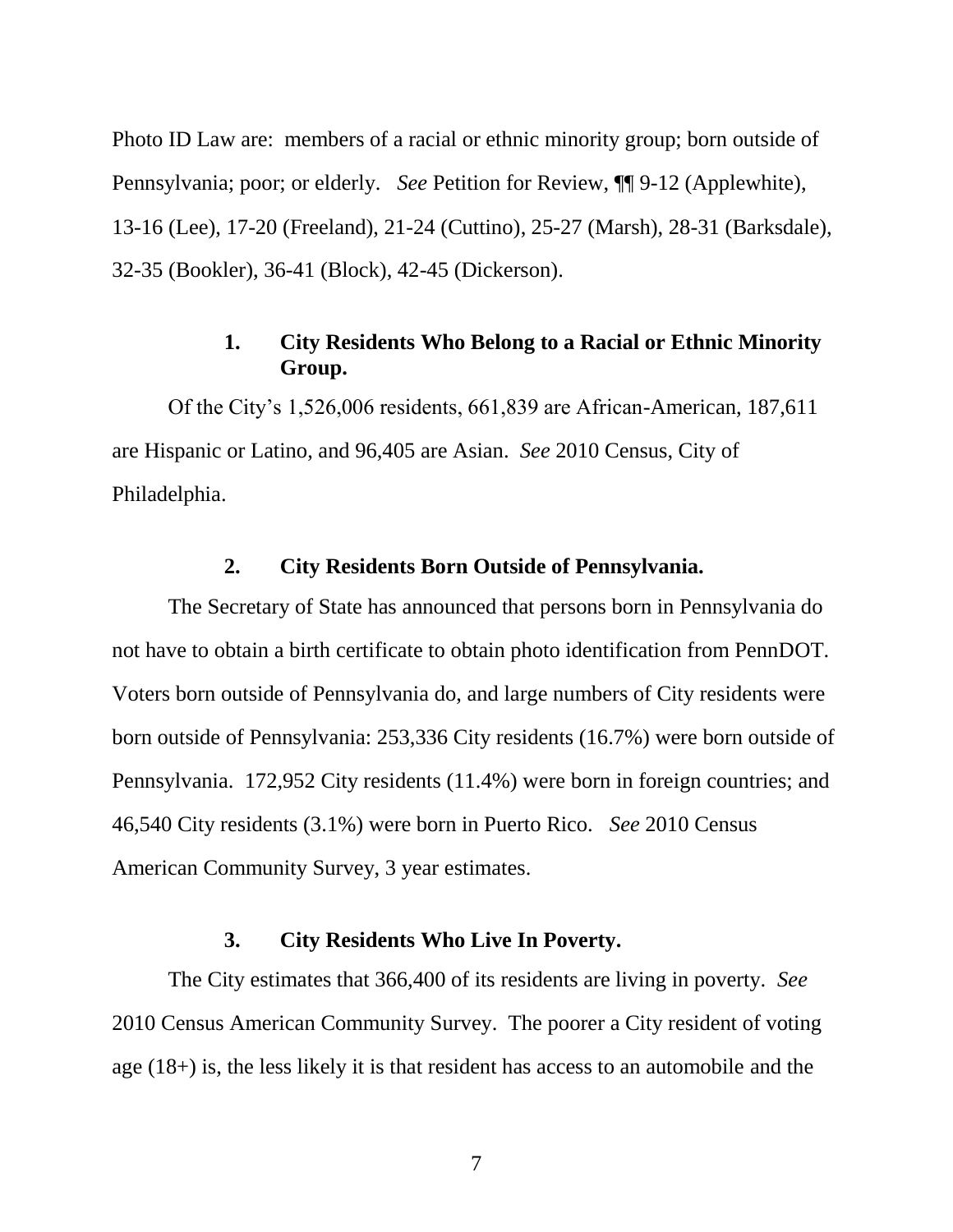Photo ID Law are: members of a racial or ethnic minority group; born outside of Pennsylvania; poor; or elderly. *See* Petition for Review, ¶¶ 9-12 (Applewhite), 13-16 (Lee), 17-20 (Freeland), 21-24 (Cuttino), 25-27 (Marsh), 28-31 (Barksdale), 32-35 (Bookler), 36-41 (Block), 42-45 (Dickerson).

# **1. City Residents Who Belong to a Racial or Ethnic Minority Group.**

<span id="page-9-0"></span>Of the City's 1,526,006 residents, 661,839 are African-American, 187,611 are Hispanic or Latino, and 96,405 are Asian. *See* 2010 Census, City of Philadelphia.

# **2. City Residents Born Outside of Pennsylvania.**

<span id="page-9-1"></span>The Secretary of State has announced that persons born in Pennsylvania do not have to obtain a birth certificate to obtain photo identification from PennDOT. Voters born outside of Pennsylvania do, and large numbers of City residents were born outside of Pennsylvania: 253,336 City residents (16.7%) were born outside of Pennsylvania. 172,952 City residents (11.4%) were born in foreign countries; and 46,540 City residents (3.1%) were born in Puerto Rico. *See* 2010 Census American Community Survey, 3 year estimates.

# **3. City Residents Who Live In Poverty.**

<span id="page-9-2"></span>The City estimates that 366,400 of its residents are living in poverty. *See*  2010 Census American Community Survey. The poorer a City resident of voting age (18+) is, the less likely it is that resident has access to an automobile and the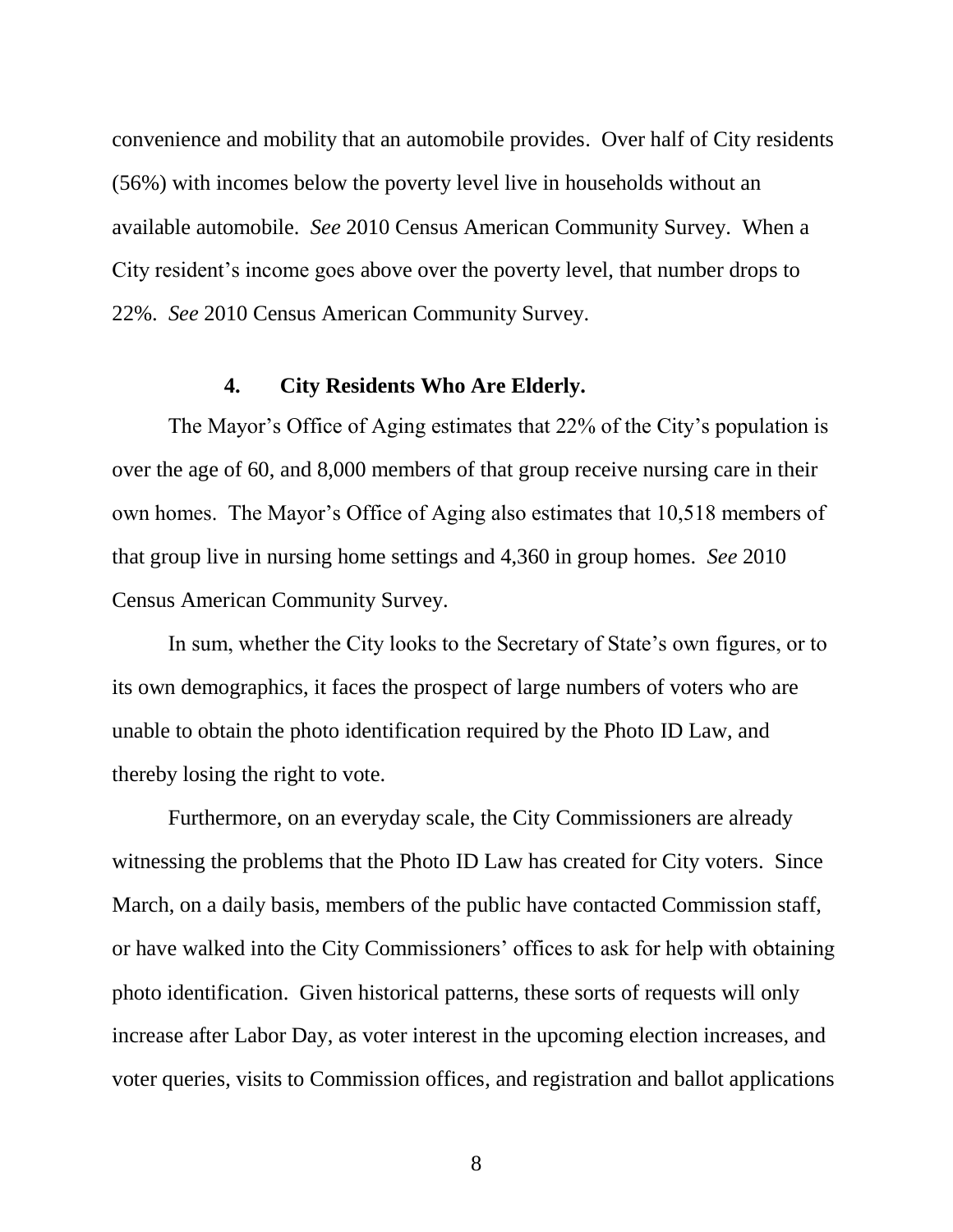convenience and mobility that an automobile provides. Over half of City residents (56%) with incomes below the poverty level live in households without an available automobile. *See* 2010 Census American Community Survey. When a City resident's income goes above over the poverty level, that number drops to 22%. *See* 2010 Census American Community Survey.

### **4. City Residents Who Are Elderly.**

<span id="page-10-0"></span>The Mayor's Office of Aging estimates that 22% of the City's population is over the age of 60, and 8,000 members of that group receive nursing care in their own homes. The Mayor's Office of Aging also estimates that 10,518 members of that group live in nursing home settings and 4,360 in group homes. *See* 2010 Census American Community Survey.

In sum, whether the City looks to the Secretary of State's own figures, or to its own demographics, it faces the prospect of large numbers of voters who are unable to obtain the photo identification required by the Photo ID Law, and thereby losing the right to vote.

Furthermore, on an everyday scale, the City Commissioners are already witnessing the problems that the Photo ID Law has created for City voters. Since March, on a daily basis, members of the public have contacted Commission staff, or have walked into the City Commissioners' offices to ask for help with obtaining photo identification. Given historical patterns, these sorts of requests will only increase after Labor Day, as voter interest in the upcoming election increases, and voter queries, visits to Commission offices, and registration and ballot applications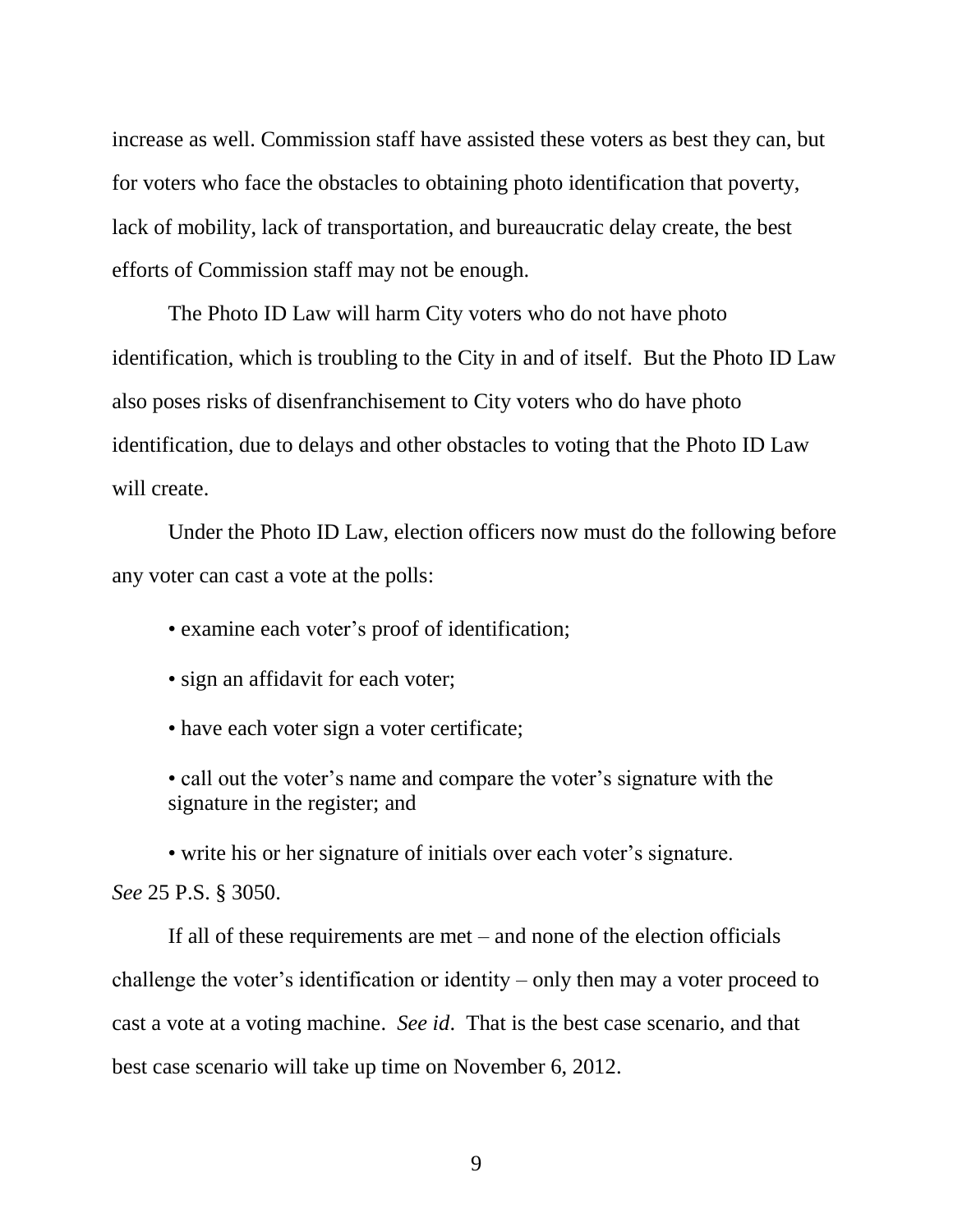increase as well. Commission staff have assisted these voters as best they can, but for voters who face the obstacles to obtaining photo identification that poverty, lack of mobility, lack of transportation, and bureaucratic delay create, the best efforts of Commission staff may not be enough.

The Photo ID Law will harm City voters who do not have photo identification, which is troubling to the City in and of itself. But the Photo ID Law also poses risks of disenfranchisement to City voters who do have photo identification, due to delays and other obstacles to voting that the Photo ID Law will create.

Under the Photo ID Law, election officers now must do the following before any voter can cast a vote at the polls:

• examine each voter's proof of identification;

• sign an affidavit for each voter;

• have each voter sign a voter certificate;

• call out the voter's name and compare the voter's signature with the signature in the register; and

<span id="page-11-0"></span>• write his or her signature of initials over each voter's signature. *See* 25 P.S. § 3050.

If all of these requirements are met – and none of the election officials challenge the voter's identification or identity – only then may a voter proceed to cast a vote at a voting machine. *See id*. That is the best case scenario, and that best case scenario will take up time on November 6, 2012.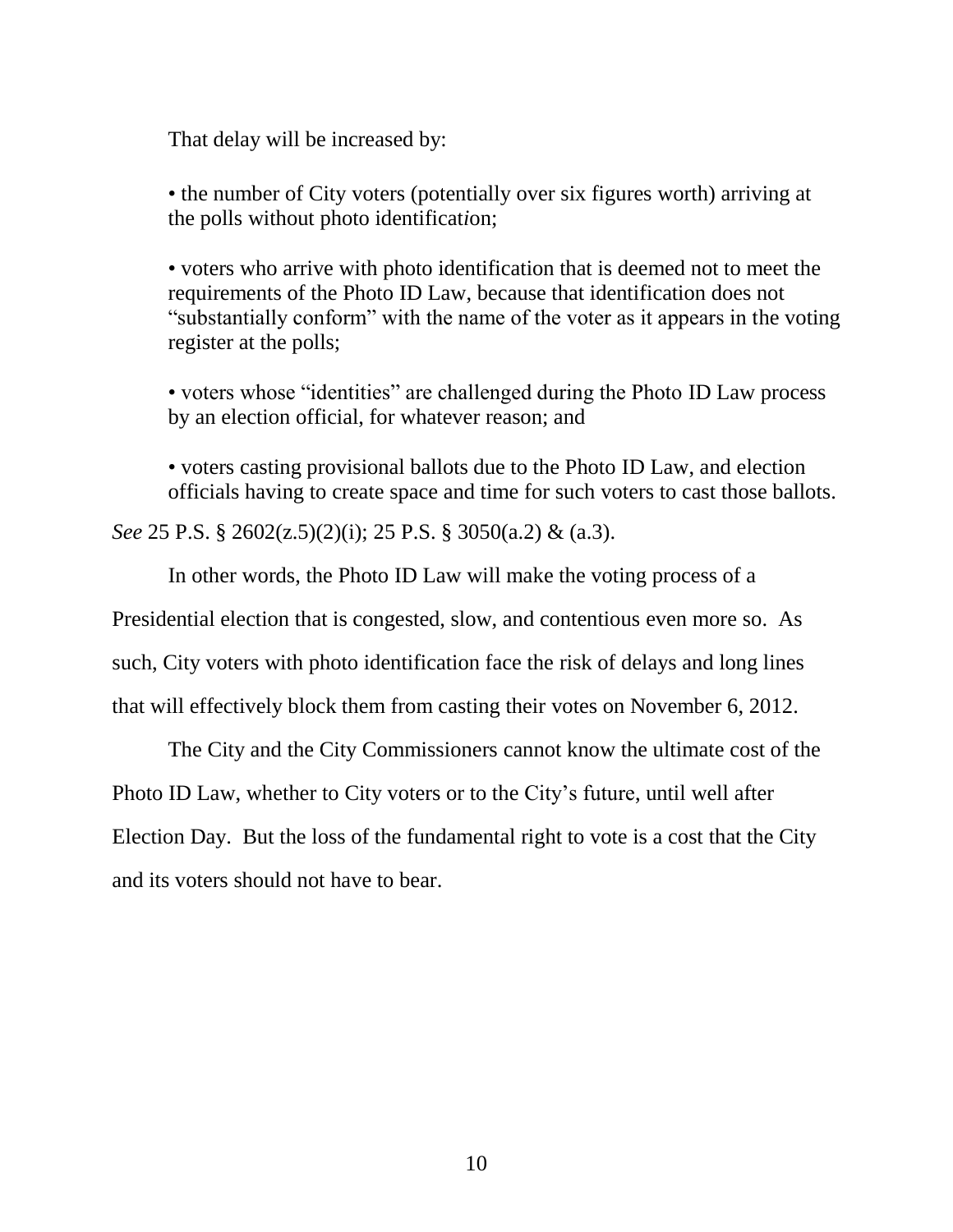That delay will be increased by:

• the number of City voters (potentially over six figures worth) arriving at the polls without photo identificat*i*on;

<span id="page-12-0"></span>• voters who arrive with photo identification that is deemed not to meet the requirements of the Photo ID Law, because that identification does not "substantially conform" with the name of the voter as it appears in the voting register at the polls;

• voters whose "identities" are challenged during the Photo ID Law process by an election official, for whatever reason; and

• voters casting provisional ballots due to the Photo ID Law, and election officials having to create space and time for such voters to cast those ballots.

*See* 25 P.S. § 2602(z.5)(2)(i); 25 P.S. § 3050(a.2) & (a.3).

In other words, the Photo ID Law will make the voting process of a

Presidential election that is congested, slow, and contentious even more so. As such, City voters with photo identification face the risk of delays and long lines

that will effectively block them from casting their votes on November 6, 2012.

The City and the City Commissioners cannot know the ultimate cost of the Photo ID Law, whether to City voters or to the City's future, until well after Election Day. But the loss of the fundamental right to vote is a cost that the City and its voters should not have to bear.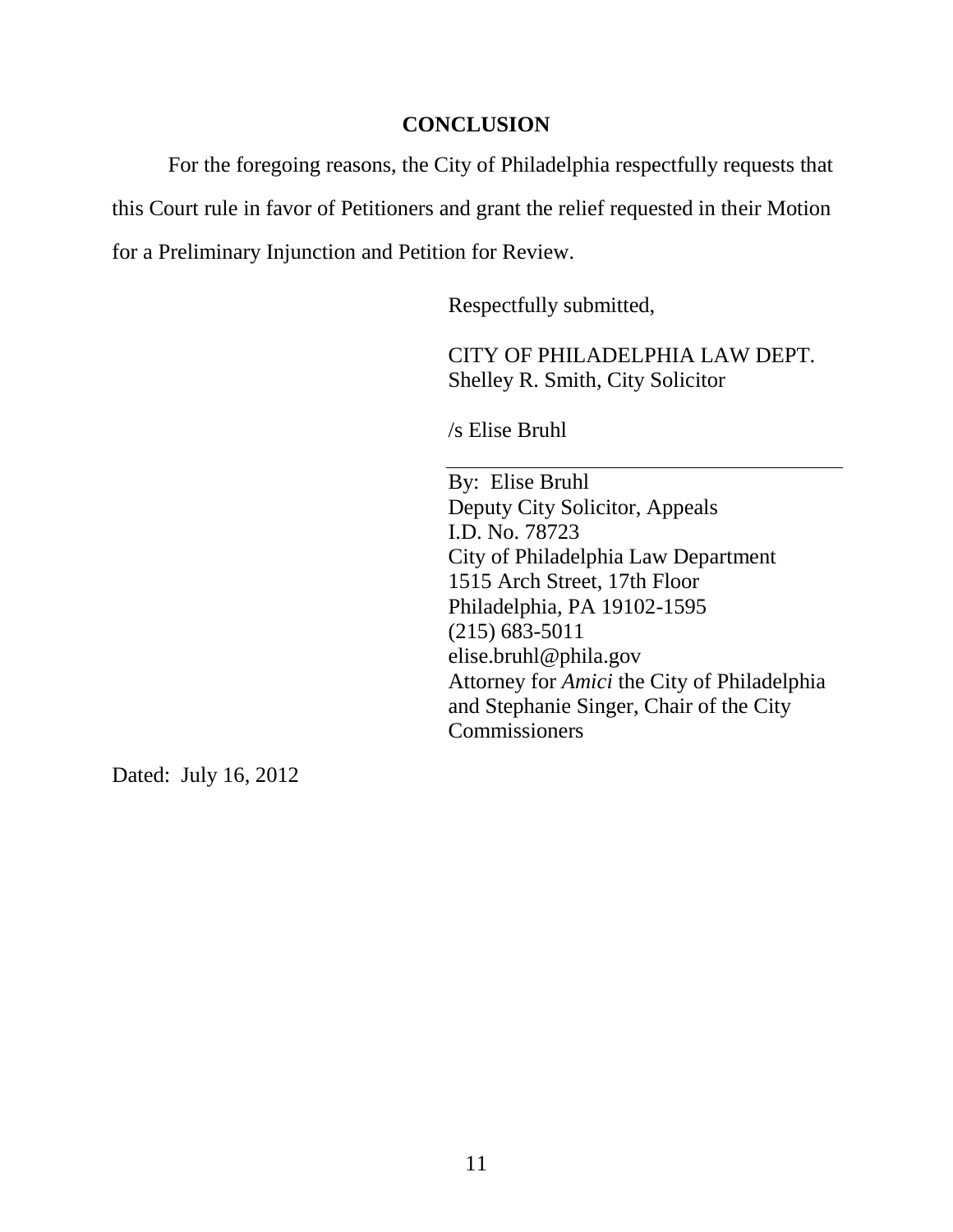# **CONCLUSION**

<span id="page-13-0"></span>For the foregoing reasons, the City of Philadelphia respectfully requests that this Court rule in favor of Petitioners and grant the relief requested in their Motion for a Preliminary Injunction and Petition for Review.

Respectfully submitted,

CITY OF PHILADELPHIA LAW DEPT. Shelley R. Smith, City Solicitor

/s Elise Bruhl

By: Elise Bruhl Deputy City Solicitor, Appeals I.D. No. 78723 City of Philadelphia Law Department 1515 Arch Street, 17th Floor Philadelphia, PA 19102-1595 (215) 683-5011 elise.bruhl@phila.gov Attorney for *Amici* the City of Philadelphia and Stephanie Singer, Chair of the City **Commissioners** 

Dated: July 16, 2012